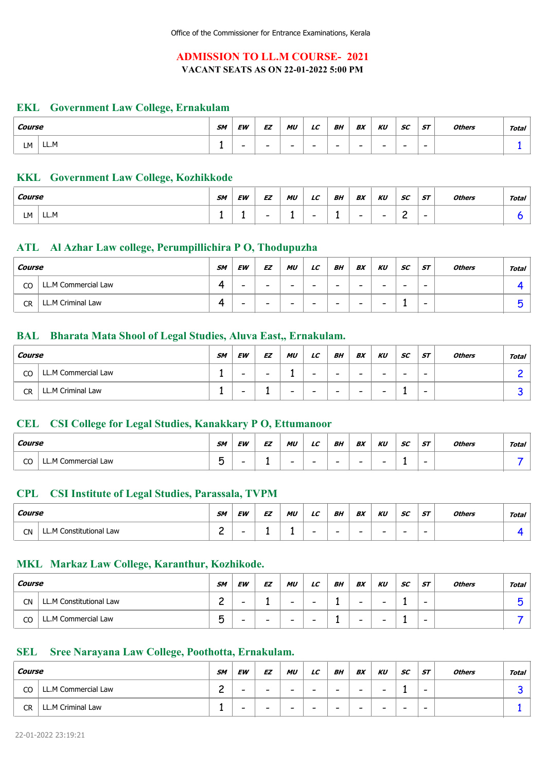# ADMISSION TO LL.M COURSE- 2021 VACANT SEATS AS ON 22-01-2022 5:00 PM

# Government Law College, Ernakulam EKL

| Course |      | SM | <b>EW</b>                | <b>EZ</b>                | <b>MU</b>                | LC                       | BH                       | BX | KU                       | <b>SC</b>                | <b>ST</b>                | <b>Others</b> | Total |
|--------|------|----|--------------------------|--------------------------|--------------------------|--------------------------|--------------------------|----|--------------------------|--------------------------|--------------------------|---------------|-------|
| LМ     | LL.M | -  | $\overline{\phantom{0}}$ | $\overline{\phantom{0}}$ | $\overline{\phantom{0}}$ | $\overline{\phantom{0}}$ | $\overline{\phantom{0}}$ | -  | $\overline{\phantom{0}}$ | $\overline{\phantom{0}}$ | $\overline{\phantom{0}}$ |               |       |

# KKL Government Law College, Kozhikkode

| Course |      | <b>SM</b> | <b>EW</b> | EZ                       | MU<br>$\sim$ | $_{LC}$                  | BH | BX                       | KU                       | SC<br>$ -$ | <b>ST</b>                | <b>Others</b> | <b>Total</b> |
|--------|------|-----------|-----------|--------------------------|--------------|--------------------------|----|--------------------------|--------------------------|------------|--------------------------|---------------|--------------|
| LM     | LL.M |           |           | $\overline{\phantom{0}}$ | -            | $\overline{\phantom{0}}$ |    | $\overline{\phantom{0}}$ | $\overline{\phantom{0}}$ | ∽<br>-     | $\overline{\phantom{0}}$ |               |              |

# ATL Al Azhar Law college, Perumpillichira P O, Thodupuzha

| Course |                     | <b>SM</b> | <b>EW</b>                | EZ                       | MU                       | $_{LC}$                  | BH                       | BX                       | KU                       | SC                       | <b>ST</b>                | <b>Others</b> | Total |
|--------|---------------------|-----------|--------------------------|--------------------------|--------------------------|--------------------------|--------------------------|--------------------------|--------------------------|--------------------------|--------------------------|---------------|-------|
| CO     | LL.M Commercial Law |           | $\overline{\phantom{a}}$ | $\overline{\phantom{0}}$ | $\overline{\phantom{0}}$ | -                        | -                        | -                        | $\overline{\phantom{0}}$ | $\overline{\phantom{0}}$ | $\overline{\phantom{0}}$ |               |       |
| CR     | LL.M Criminal Law   |           | -                        | $\overline{\phantom{0}}$ | $\overline{\phantom{0}}$ | $\overline{\phantom{0}}$ | $\overline{\phantom{0}}$ | $\overline{\phantom{0}}$ | $\overline{\phantom{0}}$ |                          | $\overline{\phantom{0}}$ |               |       |

# BAL Bharata Mata Shool of Legal Studies, Aluva East,, Ernakulam.

| Course |                     | <b>SM</b> | EW                       | EZ | MU                       | LC                       | BΗ | BX                       | KU                       | SC                       | <b>ST</b>                | <b>Others</b> | Total |
|--------|---------------------|-----------|--------------------------|----|--------------------------|--------------------------|----|--------------------------|--------------------------|--------------------------|--------------------------|---------------|-------|
| CO     | LL.M Commercial Law |           | $\overline{\phantom{0}}$ | -  |                          | $\overline{\phantom{0}}$ | -  | $\overline{\phantom{0}}$ | $\overline{\phantom{0}}$ | $\overline{\phantom{0}}$ | $\overline{\phantom{0}}$ |               |       |
| CR     | LL.M Criminal Law   |           | $\overline{\phantom{0}}$ |    | $\overline{\phantom{0}}$ | $\overline{\phantom{0}}$ | -  | $\overline{\phantom{0}}$ | $\overline{\phantom{0}}$ |                          | $\overline{\phantom{0}}$ |               |       |

### CSI College for Legal Studies, Kanakkary P O, Ettumanoor CEL

| Course  |                                 | <b>SM</b>    | EW | <b>EZ</b> | MU | $\sqrt{ }$<br>LL | BH | BX                       | KU | <b>SC</b> | <b>ST</b>                | <b>Others</b> | Total |
|---------|---------------------------------|--------------|----|-----------|----|------------------|----|--------------------------|----|-----------|--------------------------|---------------|-------|
| ~~<br>w | Commercial Law<br>$LLM^{\circ}$ | -<br>--<br>ັ |    |           | -  | -                |    | $\overline{\phantom{0}}$ | -  |           | $\overline{\phantom{0}}$ |               |       |

### CPL CSI Institute of Legal Studies, Parassala, TVPM

| Course    |                              | <b>SM</b> | EW | EZ | MU | LC                       | BH | BX                       | KU | <b>SC</b>                | ST                       | <b>Others</b> | <b>Total</b> |
|-----------|------------------------------|-----------|----|----|----|--------------------------|----|--------------------------|----|--------------------------|--------------------------|---------------|--------------|
| <b>CN</b> | '1 Constitutional Law<br>LLM | ~<br>-    | -  | -  |    | $\overline{\phantom{0}}$ |    | $\overline{\phantom{0}}$ | -  | $\overline{\phantom{0}}$ | $\overline{\phantom{0}}$ |               |              |

# MKL Markaz Law College, Karanthur, Kozhikode.

| Course    |                         | <b>SM</b>        | <b>EW</b> | EZ | MU                       | LC | BH | BX                       | KU                       | SC | <b>ST</b>                | <b>Others</b> | <b>Total</b> |
|-----------|-------------------------|------------------|-----------|----|--------------------------|----|----|--------------------------|--------------------------|----|--------------------------|---------------|--------------|
| <b>CN</b> | LL.M Constitutional Law | ⌒<br>-           | -         |    | $\overline{\phantom{0}}$ | -  |    | $\overline{\phantom{0}}$ | $\overline{\phantom{0}}$ |    | $\overline{\phantom{0}}$ |               |              |
| CO        | LL.M Commercial Law     | -<br>∽<br>∽<br>◡ | -         | -  | $\overline{\phantom{0}}$ | -  |    | -                        | $\overline{\phantom{0}}$ |    | $\overline{\phantom{0}}$ |               |              |

#### Sree Narayana Law College, Poothotta, Ernakulam. SEL

| Course |                     | <b>SM</b> | EW   | EZ                       | MU                       | LC | BH   | BX | KU | SC.                      | ST                       | <b>Others</b> | Total |
|--------|---------------------|-----------|------|--------------------------|--------------------------|----|------|----|----|--------------------------|--------------------------|---------------|-------|
| CO     | LL.M Commercial Law | ⌒<br>∽    | $\,$ | $\overline{\phantom{0}}$ | $\overline{\phantom{0}}$ | -  | $\,$ | -  | -  |                          | $\overline{\phantom{0}}$ |               |       |
| CR     | LL.M Criminal Law   | -         | -    | $\overline{\phantom{0}}$ | $\overline{\phantom{0}}$ | -  | -    | -  | -  | $\overline{\phantom{0}}$ | $\overline{\phantom{0}}$ |               |       |